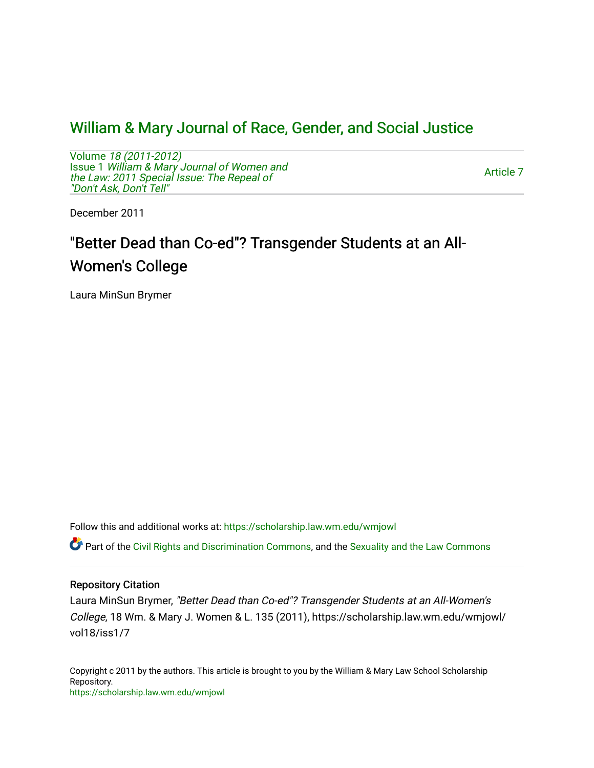# [William & Mary Journal of Race, Gender, and Social Justice](https://scholarship.law.wm.edu/wmjowl)

Volume [18 \(2011-2012\)](https://scholarship.law.wm.edu/wmjowl/vol18)  Issue 1 [William & Mary Journal of Women and](https://scholarship.law.wm.edu/wmjowl/vol18/iss1) [the Law: 2011 Special Issue: The Repeal of](https://scholarship.law.wm.edu/wmjowl/vol18/iss1) ["Don't Ask, Don't Tell"](https://scholarship.law.wm.edu/wmjowl/vol18/iss1) 

[Article 7](https://scholarship.law.wm.edu/wmjowl/vol18/iss1/7) 

December 2011

# "Better Dead than Co-ed"? Transgender Students at an All-Women's College

Laura MinSun Brymer

Follow this and additional works at: [https://scholarship.law.wm.edu/wmjowl](https://scholarship.law.wm.edu/wmjowl?utm_source=scholarship.law.wm.edu%2Fwmjowl%2Fvol18%2Fiss1%2F7&utm_medium=PDF&utm_campaign=PDFCoverPages) 

Part of the [Civil Rights and Discrimination Commons,](http://network.bepress.com/hgg/discipline/585?utm_source=scholarship.law.wm.edu%2Fwmjowl%2Fvol18%2Fiss1%2F7&utm_medium=PDF&utm_campaign=PDFCoverPages) and the [Sexuality and the Law Commons](http://network.bepress.com/hgg/discipline/877?utm_source=scholarship.law.wm.edu%2Fwmjowl%2Fvol18%2Fiss1%2F7&utm_medium=PDF&utm_campaign=PDFCoverPages) 

# Repository Citation

Laura MinSun Brymer, "Better Dead than Co-ed"? Transgender Students at an All-Women's College, 18 Wm. & Mary J. Women & L. 135 (2011), https://scholarship.law.wm.edu/wmjowl/ vol18/iss1/7

Copyright c 2011 by the authors. This article is brought to you by the William & Mary Law School Scholarship Repository. <https://scholarship.law.wm.edu/wmjowl>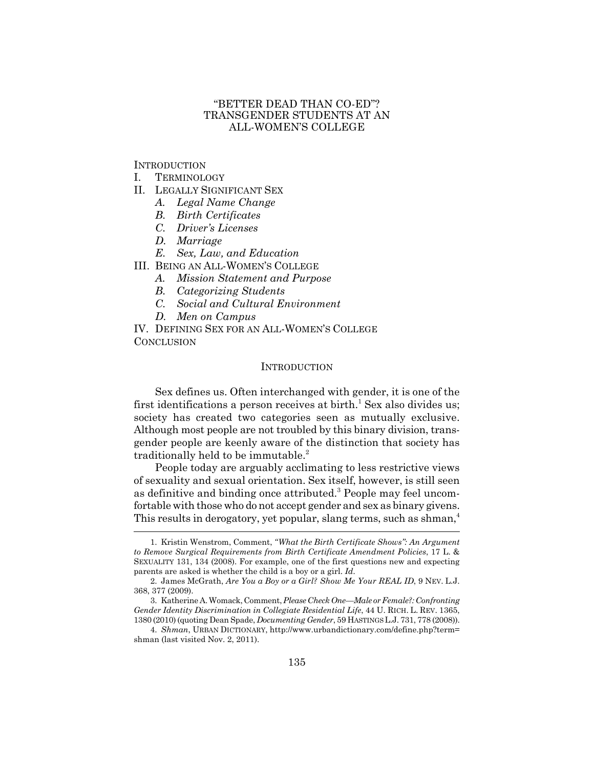# "BETTER DEAD THAN CO-ED"? TRANSGENDER STUDENTS AT AN ALL-WOMEN'S COLLEGE

**INTRODUCTION** 

- I. TERMINOLOGY
- II. LEGALLY SIGNIFICANT SEX
	- *A. Legal Name Change*
	- *B. Birth Certificates*
	- *C. Driver's Licenses*
	- *D. Marriage*
	- *E. Sex, Law, and Education*
- III. BEING AN ALL-WOMEN'S COLLEGE
	- *A. Mission Statement and Purpose*
	- *B. Categorizing Students*
	- *C. Social and Cultural Environment*
	- *D. Men on Campus*

IV. DEFINING SEX FOR AN ALL-WOMEN'S COLLEGE **CONCLUSION** 

#### **INTRODUCTION**

Sex defines us. Often interchanged with gender, it is one of the first identifications a person receives at birth.<sup>1</sup> Sex also divides us; society has created two categories seen as mutually exclusive. Although most people are not troubled by this binary division, transgender people are keenly aware of the distinction that society has traditionally held to be immutable.<sup>2</sup>

People today are arguably acclimating to less restrictive views of sexuality and sexual orientation. Sex itself, however, is still seen as definitive and binding once attributed.<sup>3</sup> People may feel uncomfortable with those who do not accept gender and sex as binary givens. This results in derogatory, yet popular, slang terms, such as shman,<sup>4</sup>

<sup>1.</sup> Kristin Wenstrom, Comment, *"What the Birth Certificate Shows": An Argument to Remove Surgical Requirements from Birth Certificate Amendment Policies*, 17 L. & SEXUALITY 131, 134 (2008). For example, one of the first questions new and expecting parents are asked is whether the child is a boy or a girl. *Id.*

<sup>2.</sup> James McGrath, *Are You a Boy or a Girl? Show Me Your REAL ID*, 9 NEV. L.J. 368, 377 (2009).

<sup>3.</sup> Katherine A. Womack, Comment, *Please Check One—Male or Female?: Confronting Gender Identity Discrimination in Collegiate Residential Life*, 44 U. RICH. L. REV. 1365, 1380 (2010) (quoting Dean Spade, *Documenting Gender*, 59 HASTINGS L.J. 731, 778 (2008)).

<sup>4.</sup> *Shman*, URBAN DICTIONARY, http://www.urbandictionary.com/define.php?term= shman (last visited Nov. 2, 2011).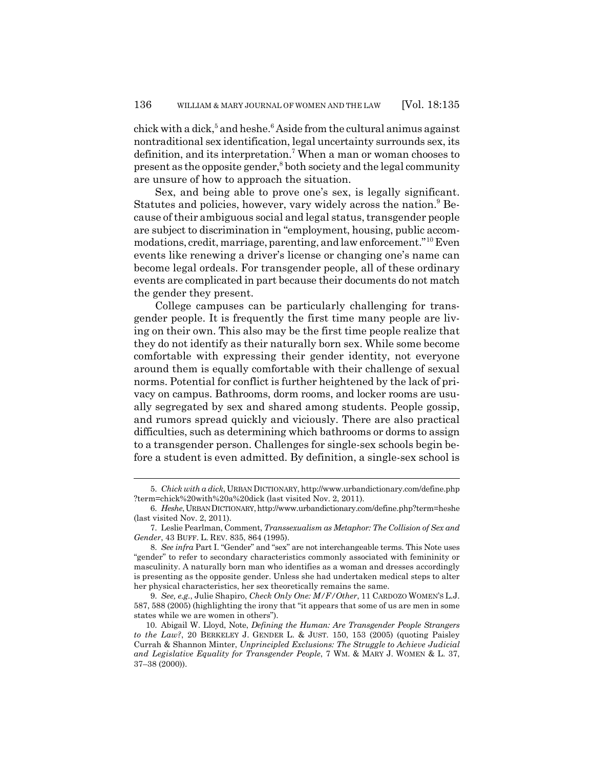chick with a dick,<sup>5</sup> and heshe.<sup>6</sup> Aside from the cultural animus against nontraditional sex identification, legal uncertainty surrounds sex, its definition, and its interpretation.<sup>7</sup> When a man or woman chooses to present as the opposite gender,<sup>8</sup> both society and the legal community are unsure of how to approach the situation.

Sex, and being able to prove one's sex, is legally significant. Statutes and policies, however, vary widely across the nation.<sup>9</sup> Because of their ambiguous social and legal status, transgender people are subject to discrimination in "employment, housing, public accommodations, credit, marriage, parenting, and law enforcement."<sup>10</sup> Even events like renewing a driver's license or changing one's name can become legal ordeals. For transgender people, all of these ordinary events are complicated in part because their documents do not match the gender they present.

College campuses can be particularly challenging for transgender people. It is frequently the first time many people are living on their own. This also may be the first time people realize that they do not identify as their naturally born sex. While some become comfortable with expressing their gender identity, not everyone around them is equally comfortable with their challenge of sexual norms. Potential for conflict is further heightened by the lack of privacy on campus. Bathrooms, dorm rooms, and locker rooms are usually segregated by sex and shared among students. People gossip, and rumors spread quickly and viciously. There are also practical difficulties, such as determining which bathrooms or dorms to assign to a transgender person. Challenges for single-sex schools begin before a student is even admitted. By definition, a single-sex school is

<sup>5.</sup> *Chick with a dick*, URBAN DICTIONARY, http://www.urbandictionary.com/define.php ?term=chick%20with%20a%20dick (last visited Nov. 2, 2011).

<sup>6.</sup> *Heshe*, URBAN DICTIONARY, http://www.urbandictionary.com/define.php?term=heshe (last visited Nov. 2, 2011).

<sup>7.</sup> Leslie Pearlman, Comment, *Transsexualism as Metaphor: The Collision of Sex and Gender*, 43 BUFF. L. REV. 835, 864 (1995).

<sup>8.</sup> *See infra* Part I. "Gender" and "sex" are not interchangeable terms. This Note uses "gender" to refer to secondary characteristics commonly associated with femininity or masculinity. A naturally born man who identifies as a woman and dresses accordingly is presenting as the opposite gender. Unless she had undertaken medical steps to alter her physical characteristics, her sex theoretically remains the same.

<sup>9.</sup> *See, e.g.*, Julie Shapiro, *Check Only One: M/F/Other*, 11 CARDOZO WOMEN'S L.J. 587, 588 (2005) (highlighting the irony that "it appears that some of us are men in some states while we are women in others").

<sup>10.</sup> Abigail W. Lloyd, Note, *Defining the Human: Are Transgender People Strangers to the Law?*, 20 BERKELEY J. GENDER L. & JUST. 150, 153 (2005) (quoting Paisley Currah & Shannon Minter, *Unprincipled Exclusions: The Struggle to Achieve Judicial and Legislative Equality for Transgender People*, 7 WM. & MARY J. WOMEN & L. 37, 37–38 (2000)).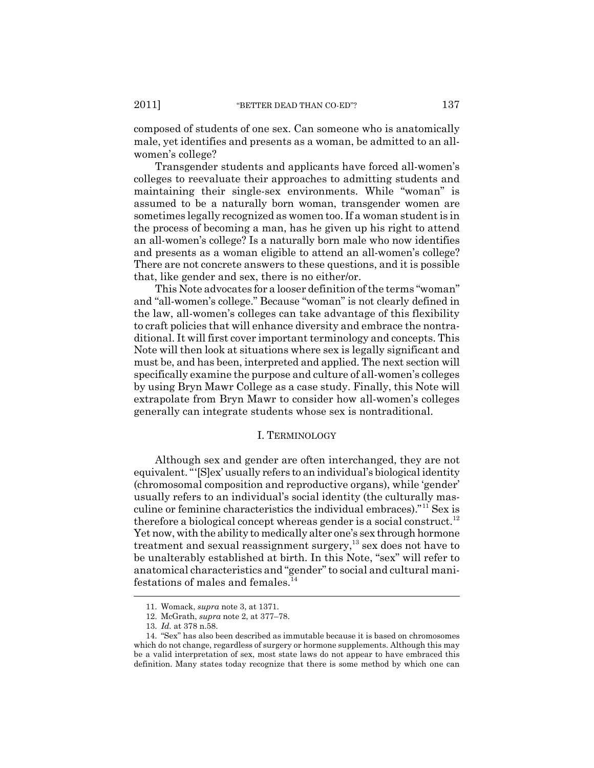composed of students of one sex. Can someone who is anatomically male, yet identifies and presents as a woman, be admitted to an allwomen's college?

Transgender students and applicants have forced all-women's colleges to reevaluate their approaches to admitting students and maintaining their single-sex environments. While "woman" is assumed to be a naturally born woman, transgender women are sometimes legally recognized as women too. If a woman student is in the process of becoming a man, has he given up his right to attend an all-women's college? Is a naturally born male who now identifies and presents as a woman eligible to attend an all-women's college? There are not concrete answers to these questions, and it is possible that, like gender and sex, there is no either/or.

This Note advocates for a looser definition of the terms "woman" and "all-women's college." Because "woman" is not clearly defined in the law, all-women's colleges can take advantage of this flexibility to craft policies that will enhance diversity and embrace the nontraditional. It will first cover important terminology and concepts. This Note will then look at situations where sex is legally significant and must be, and has been, interpreted and applied. The next section will specifically examine the purpose and culture of all-women's colleges by using Bryn Mawr College as a case study. Finally, this Note will extrapolate from Bryn Mawr to consider how all-women's colleges generally can integrate students whose sex is nontraditional.

#### I. TERMINOLOGY

Although sex and gender are often interchanged, they are not equivalent. "'[S]ex' usually refers to an individual's biological identity (chromosomal composition and reproductive organs), while 'gender' usually refers to an individual's social identity (the culturally masculine or feminine characteristics the individual embraces)."<sup>11</sup> Sex is therefore a biological concept whereas gender is a social construct.<sup>12</sup> Yet now, with the ability to medically alter one's sex through hormone treatment and sexual reassignment surgery, $13$  sex does not have to be unalterably established at birth. In this Note, "sex" will refer to anatomical characteristics and "gender" to social and cultural manifestations of males and females. $^{14}$ 

<sup>11.</sup> Womack, *supra* note 3, at 1371.

<sup>12.</sup> McGrath, *supra* note 2, at 377–78.

<sup>13.</sup> *Id.* at 378 n.58.

<sup>14. &</sup>quot;Sex" has also been described as immutable because it is based on chromosomes which do not change, regardless of surgery or hormone supplements. Although this may be a valid interpretation of sex, most state laws do not appear to have embraced this definition. Many states today recognize that there is some method by which one can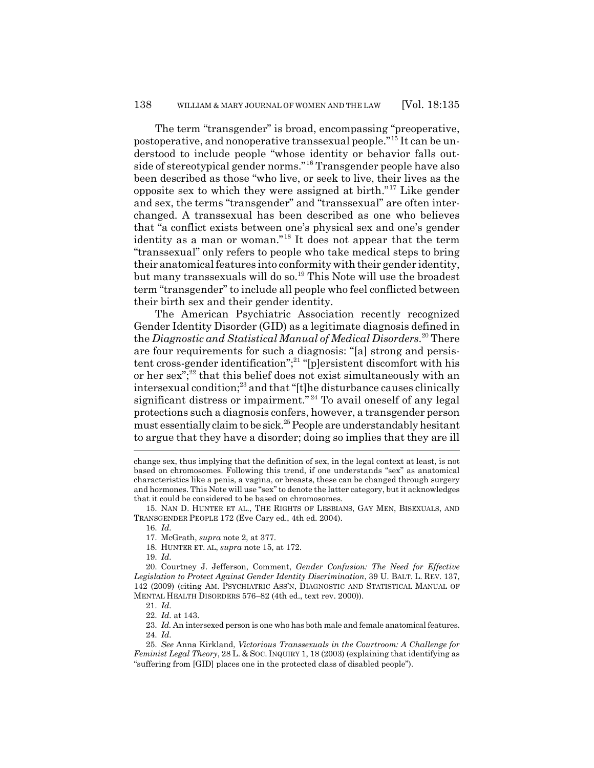The term "transgender" is broad, encompassing "preoperative, postoperative, and nonoperative transsexual people." <sup>15</sup> It can be understood to include people "whose identity or behavior falls outside of stereotypical gender norms."<sup>16</sup> Transgender people have also been described as those "who live, or seek to live, their lives as the opposite sex to which they were assigned at birth."<sup>17</sup> Like gender and sex, the terms "transgender" and "transsexual" are often interchanged. A transsexual has been described as one who believes that "a conflict exists between one's physical sex and one's gender identity as a man or woman."<sup>18</sup> It does not appear that the term "transsexual" only refers to people who take medical steps to bring their anatomical features into conformity with their gender identity, but many transsexuals will do so.<sup>19</sup> This Note will use the broadest term "transgender" to include all people who feel conflicted between their birth sex and their gender identity.

The American Psychiatric Association recently recognized Gender Identity Disorder (GID) as a legitimate diagnosis defined in the *Diagnostic and Statistical Manual of Medical Disorders*. <sup>20</sup> There are four requirements for such a diagnosis: "[a] strong and persistent cross-gender identification";<sup>21</sup> "[p]ersistent discomfort with his or her sex"; $^{22}$  that this belief does not exist simultaneously with an intersexual condition; $^{23}$  and that "[t]he disturbance causes clinically significant distress or impairment."<sup>24</sup> To avail oneself of any legal protections such a diagnosis confers, however, a transgender person must essentially claim to be sick.<sup>25</sup> People are understandably hesitant to argue that they have a disorder; doing so implies that they are ill

15. NAN D. HUNTER ET AL., THE RIGHTS OF LESBIANS, GAY MEN, BISEXUALS, AND TRANSGENDER PEOPLE 172 (Eve Cary ed., 4th ed. 2004).

16. *Id.*

17. McGrath, *supra* note 2, at 377.

18. HUNTER ET. AL, *supra* note 15, at 172.

19. *Id.*

20. Courtney J. Jefferson, Comment, *Gender Confusion: The Need for Effective Legislation to Protect Against Gender Identity Discrimination*, 39 U. BALT. L. REV. 137, 142 (2009) (citing AM. PSYCHIATRIC ASS'N, DIAGNOSTIC AND STATISTICAL MANUAL OF MENTAL HEALTH DISORDERS 576–82 (4th ed., text rev. 2000)).

21. *Id.*

22. *Id.* at 143.

23. *Id.* An intersexed person is one who has both male and female anatomical features. 24. *Id.*

25. *See* Anna Kirkland, *Victorious Transsexuals in the Courtroom: A Challenge for Feminist Legal Theory*, 28 L. & SOC. INQUIRY 1, 18 (2003) (explaining that identifying as "suffering from [GID] places one in the protected class of disabled people").

change sex, thus implying that the definition of sex, in the legal context at least, is not based on chromosomes. Following this trend, if one understands "sex" as anatomical characteristics like a penis, a vagina, or breasts, these can be changed through surgery and hormones. This Note will use "sex" to denote the latter category, but it acknowledges that it could be considered to be based on chromosomes.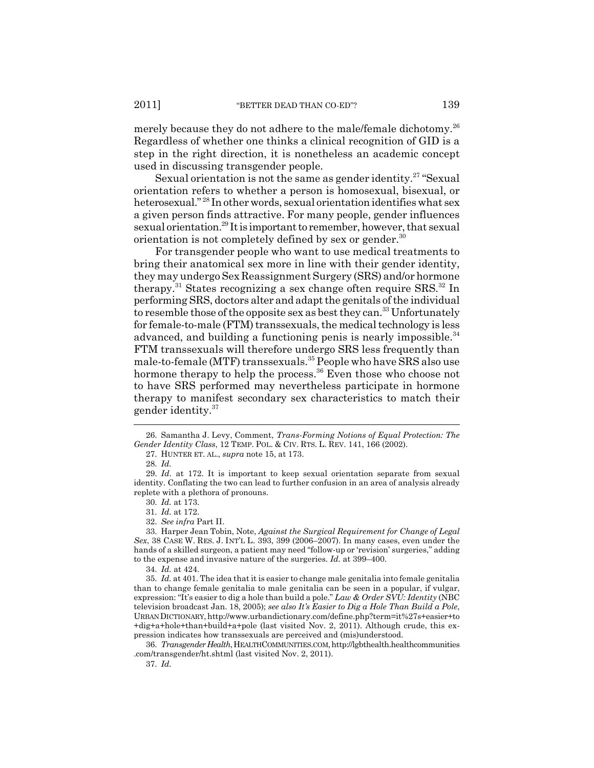merely because they do not adhere to the male/female dichotomy.<sup>26</sup> Regardless of whether one thinks a clinical recognition of GID is a step in the right direction, it is nonetheless an academic concept used in discussing transgender people.

Sexual orientation is not the same as gender identity.<sup>27</sup> "Sexual" orientation refers to whether a person is homosexual, bisexual, or heterosexual." <sup>28</sup> In other words, sexual orientation identifies what sex a given person finds attractive. For many people, gender influences sexual orientation.<sup>29</sup> It is important to remember, however, that sexual orientation is not completely defined by sex or gender. $30$ 

For transgender people who want to use medical treatments to bring their anatomical sex more in line with their gender identity, they may undergo Sex Reassignment Surgery (SRS) and/or hormone therapy.<sup>31</sup> States recognizing a sex change often require  $SRS$ <sup>32</sup> In performing SRS, doctors alter and adapt the genitals of the individual to resemble those of the opposite sex as best they can.<sup>33</sup> Unfortunately for female-to-male (FTM) transsexuals, the medical technology is less advanced, and building a functioning penis is nearly impossible.<sup>34</sup> FTM transsexuals will therefore undergo SRS less frequently than male-to-female (MTF) transsexuals.<sup>35</sup> People who have SRS also use hormone therapy to help the process.<sup>36</sup> Even those who choose not to have SRS performed may nevertheless participate in hormone therapy to manifest secondary sex characteristics to match their gender identity.<sup>37</sup>

37. *Id.*

36. *Transgender Health*, HEALTHCOMMUNITIES.COM, http://lgbthealth.healthcommunities .com/transgender/ht.shtml (last visited Nov. 2, 2011).

<sup>26.</sup> Samantha J. Levy, Comment, *Trans-Forming Notions of Equal Protection: The Gender Identity Class*, 12 TEMP. POL. & CIV. RTS. L. REV. 141, 166 (2002).

<sup>27.</sup> HUNTER ET. AL., *supra* note 15, at 173.

<sup>28.</sup> *Id.*

<sup>29.</sup> *Id.* at 172. It is important to keep sexual orientation separate from sexual identity. Conflating the two can lead to further confusion in an area of analysis already replete with a plethora of pronouns.

<sup>30.</sup> *Id.* at 173.

<sup>31.</sup> *Id.* at 172.

<sup>32.</sup> *See infra* Part II.

<sup>33.</sup> Harper Jean Tobin, Note, *Against the Surgical Requirement for Change of Legal Sex*, 38 CASE W. RES. J. INT'L L. 393, 399 (2006–2007). In many cases, even under the hands of a skilled surgeon, a patient may need "follow-up or 'revision' surgeries," adding to the expense and invasive nature of the surgeries. *Id.* at 399–400.

<sup>34.</sup> *Id.* at 424.

<sup>35.</sup> *Id.* at 401. The idea that it is easier to change male genitalia into female genitalia than to change female genitalia to male genitalia can be seen in a popular, if vulgar, expression: "It's easier to dig a hole than build a pole." *Law & Order SVU: Identity* (NBC television broadcast Jan. 18, 2005); *see also It's Easier to Dig a Hole Than Build a Pole*, URBAN DICTIONARY, http://www.urbandictionary.com/define.php?term=it%27s+easier+to +dig+a+hole+than+build+a+pole (last visited Nov. 2, 2011). Although crude, this expression indicates how transsexuals are perceived and (mis)understood.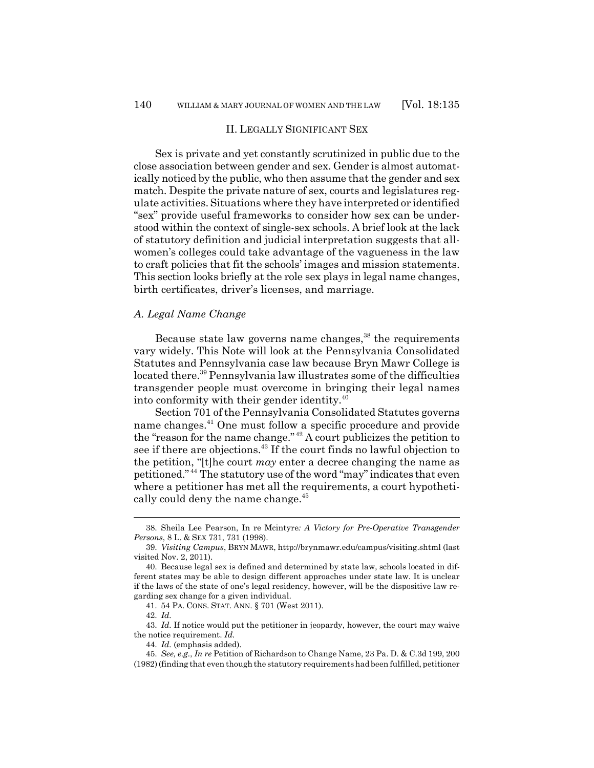#### II. LEGALLY SIGNIFICANT SEX

Sex is private and yet constantly scrutinized in public due to the close association between gender and sex. Gender is almost automatically noticed by the public, who then assume that the gender and sex match. Despite the private nature of sex, courts and legislatures regulate activities. Situations where they have interpreted or identified "sex" provide useful frameworks to consider how sex can be understood within the context of single-sex schools. A brief look at the lack of statutory definition and judicial interpretation suggests that allwomen's colleges could take advantage of the vagueness in the law to craft policies that fit the schools' images and mission statements. This section looks briefly at the role sex plays in legal name changes, birth certificates, driver's licenses, and marriage.

#### *A. Legal Name Change*

Because state law governs name changes,<sup>38</sup> the requirements vary widely. This Note will look at the Pennsylvania Consolidated Statutes and Pennsylvania case law because Bryn Mawr College is located there.<sup>39</sup> Pennsylvania law illustrates some of the difficulties transgender people must overcome in bringing their legal names into conformity with their gender identity.<sup>40</sup>

Section 701 of the Pennsylvania Consolidated Statutes governs name changes.<sup>41</sup> One must follow a specific procedure and provide the "reason for the name change." <sup>42</sup> A court publicizes the petition to see if there are objections.<sup>43</sup> If the court finds no lawful objection to the petition, "[t]he court *may* enter a decree changing the name as petitioned." <sup>44</sup> The statutory use of the word "may" indicates that even where a petitioner has met all the requirements, a court hypothetically could deny the name change.<sup>45</sup>

41. 54 PA. CONS. STAT. ANN. § 701 (West 2011).

<sup>38.</sup> Sheila Lee Pearson, In re Mcintyre*: A Victory for Pre-Operative Transgender Persons*, 8 L. & SEX 731, 731 (1998).

<sup>39.</sup> *Visiting Campus*, BRYN MAWR, http://brynmawr.edu/campus/visiting.shtml (last visited Nov. 2, 2011).

<sup>40.</sup> Because legal sex is defined and determined by state law, schools located in different states may be able to design different approaches under state law. It is unclear if the laws of the state of one's legal residency, however, will be the dispositive law regarding sex change for a given individual.

<sup>42.</sup> *Id.*

<sup>43.</sup> *Id.* If notice would put the petitioner in jeopardy, however, the court may waive the notice requirement. *Id.*

<sup>44.</sup> *Id.* (emphasis added).

<sup>45.</sup> *See, e.g.*, *In re* Petition of Richardson to Change Name, 23 Pa. D. & C.3d 199, 200 (1982) (finding that even though the statutory requirements had been fulfilled, petitioner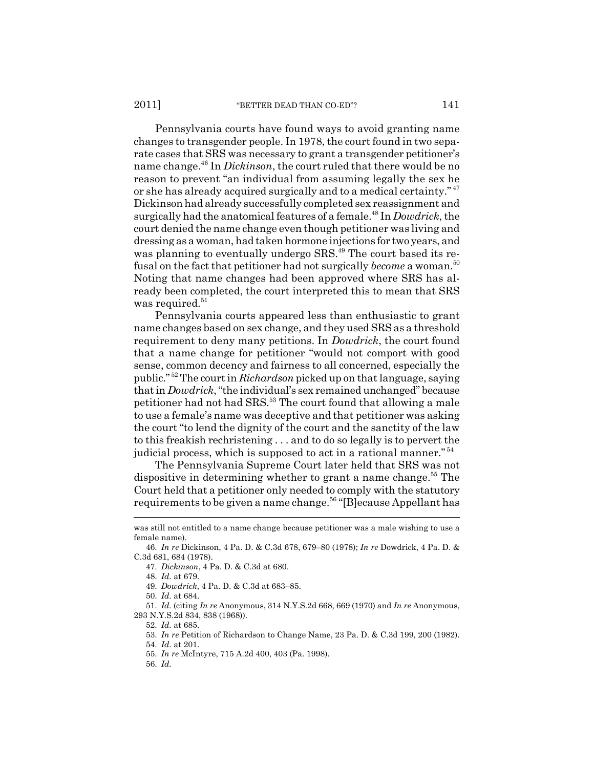Pennsylvania courts have found ways to avoid granting name changes to transgender people. In 1978, the court found in two separate cases that SRS was necessary to grant a transgender petitioner's name change.<sup>46</sup> In *Dickinson*, the court ruled that there would be no reason to prevent "an individual from assuming legally the sex he or she has already acquired surgically and to a medical certainty." <sup>47</sup> Dickinson had already successfully completed sex reassignment and surgically had the anatomical features of a female.<sup>48</sup> In *Dowdrick*, the court denied the name change even though petitioner was living and dressing as a woman, had taken hormone injections for two years, and was planning to eventually undergo SRS.<sup>49</sup> The court based its refusal on the fact that petitioner had not surgically *become* a woman.<sup>50</sup> Noting that name changes had been approved where SRS has already been completed, the court interpreted this to mean that SRS was required. $51$ 

Pennsylvania courts appeared less than enthusiastic to grant name changes based on sex change, and they used SRS as a threshold requirement to deny many petitions. In *Dowdrick*, the court found that a name change for petitioner "would not comport with good sense, common decency and fairness to all concerned, especially the public." <sup>52</sup> The court in *Richardson* picked up on that language, saying that in *Dowdrick*, "the individual's sex remained unchanged" because petitioner had not had SRS.<sup>53</sup> The court found that allowing a male to use a female's name was deceptive and that petitioner was asking the court "to lend the dignity of the court and the sanctity of the law to this freakish rechristening . . . and to do so legally is to pervert the judicial process, which is supposed to act in a rational manner."<sup>54</sup>

The Pennsylvania Supreme Court later held that SRS was not dispositive in determining whether to grant a name change.<sup>55</sup> The Court held that a petitioner only needed to comply with the statutory requirements to be given a name change.<sup>56</sup> "[B]ecause Appellant has

was still not entitled to a name change because petitioner was a male wishing to use a female name).

<sup>46.</sup> *In re* Dickinson, 4 Pa. D. & C.3d 678, 679–80 (1978); *In re* Dowdrick, 4 Pa. D. & C.3d 681, 684 (1978).

<sup>47.</sup> *Dickinson*, 4 Pa. D. & C.3d at 680.

<sup>48.</sup> *Id.* at 679.

<sup>49.</sup> *Dowdrick*, 4 Pa. D. & C.3d at 683–85.

<sup>50.</sup> *Id.* at 684.

<sup>51.</sup> *Id.* (citing *In re* Anonymous, 314 N.Y.S.2d 668, 669 (1970) and *In re* Anonymous, 293 N.Y.S.2d 834, 838 (1968)).

<sup>52.</sup> *Id.* at 685.

<sup>53.</sup> *In re* Petition of Richardson to Change Name, 23 Pa. D. & C.3d 199, 200 (1982).

<sup>54.</sup> *Id.* at 201.

<sup>55.</sup> *In re* McIntyre, 715 A.2d 400, 403 (Pa. 1998).

<sup>56.</sup> *Id.*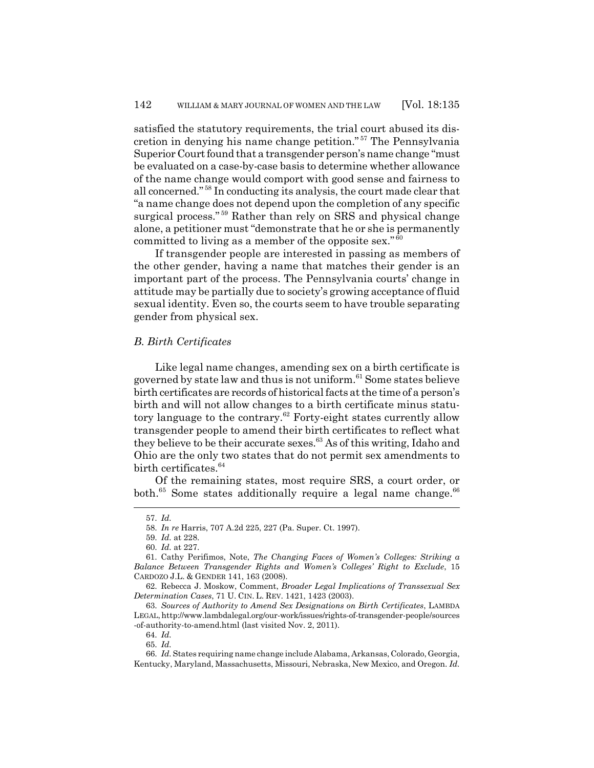satisfied the statutory requirements, the trial court abused its discretion in denying his name change petition." <sup>57</sup> The Pennsylvania Superior Court found that a transgender person's name change "must be evaluated on a case-by-case basis to determine whether allowance of the name change would comport with good sense and fairness to all concerned." <sup>58</sup> In conducting its analysis, the court made clear that "a name change does not depend upon the completion of any specific surgical process."<sup>59</sup> Rather than rely on SRS and physical change alone, a petitioner must "demonstrate that he or she is permanently committed to living as a member of the opposite sex."  $60$ 

If transgender people are interested in passing as members of the other gender, having a name that matches their gender is an important part of the process. The Pennsylvania courts' change in attitude may be partially due to society's growing acceptance of fluid sexual identity. Even so, the courts seem to have trouble separating gender from physical sex.

### *B. Birth Certificates*

Like legal name changes, amending sex on a birth certificate is governed by state law and thus is not uniform.<sup>61</sup> Some states believe birth certificates are records of historical facts at the time of a person's birth and will not allow changes to a birth certificate minus statutory language to the contrary.<sup>62</sup> Forty-eight states currently allow transgender people to amend their birth certificates to reflect what they believe to be their accurate sexes.<sup>63</sup> As of this writing, Idaho and Ohio are the only two states that do not permit sex amendments to birth certificates.<sup>64</sup>

Of the remaining states, most require SRS, a court order, or both.<sup>65</sup> Some states additionally require a legal name change.<sup>66</sup>

<sup>57.</sup> *Id.*

<sup>58.</sup> *In re* Harris, 707 A.2d 225, 227 (Pa. Super. Ct. 1997).

<sup>59.</sup> *Id.* at 228.

<sup>60.</sup> *Id.* at 227.

<sup>61.</sup> Cathy Perifimos, Note, *The Changing Faces of Women's Colleges: Striking a Balance Between Transgender Rights and Women's Colleges' Right to Exclude*, 15 CARDOZO J.L. & GENDER 141, 163 (2008).

<sup>62.</sup> Rebecca J. Moskow, Comment, *Broader Legal Implications of Transsexual Sex Determination Cases*, 71 U. CIN. L. REV. 1421, 1423 (2003).

<sup>63.</sup> *Sources of Authority to Amend Sex Designations on Birth Certificates*, LAMBDA LEGAL, http://www.lambdalegal.org/our-work/issues/rights-of-transgender-people/sources -of-authority-to-amend.html (last visited Nov. 2, 2011).

<sup>64.</sup> *Id.*

<sup>65.</sup> *Id.*

<sup>66.</sup> *Id.* States requiring name change include Alabama, Arkansas, Colorado, Georgia, Kentucky, Maryland, Massachusetts, Missouri, Nebraska, New Mexico, and Oregon. *Id.*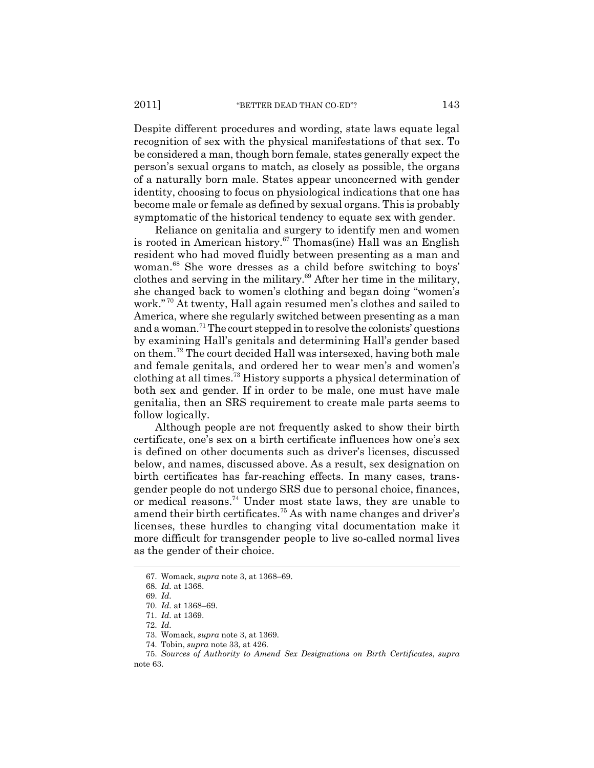Despite different procedures and wording, state laws equate legal recognition of sex with the physical manifestations of that sex. To be considered a man, though born female, states generally expect the person's sexual organs to match, as closely as possible, the organs of a naturally born male. States appear unconcerned with gender identity, choosing to focus on physiological indications that one has become male or female as defined by sexual organs. This is probably symptomatic of the historical tendency to equate sex with gender.

Reliance on genitalia and surgery to identify men and women is rooted in American history.<sup>67</sup> Thomas(ine) Hall was an English resident who had moved fluidly between presenting as a man and woman.<sup>68</sup> She wore dresses as a child before switching to boys' clothes and serving in the military.<sup>69</sup> After her time in the military, she changed back to women's clothing and began doing "women's work." <sup>70</sup> At twenty, Hall again resumed men's clothes and sailed to America, where she regularly switched between presenting as a man and a woman.<sup>71</sup> The court stepped in to resolve the colonists' questions by examining Hall's genitals and determining Hall's gender based on them.<sup>72</sup> The court decided Hall was intersexed, having both male and female genitals, and ordered her to wear men's and women's clothing at all times.<sup>73</sup> History supports a physical determination of both sex and gender. If in order to be male, one must have male genitalia, then an SRS requirement to create male parts seems to follow logically.

Although people are not frequently asked to show their birth certificate, one's sex on a birth certificate influences how one's sex is defined on other documents such as driver's licenses, discussed below, and names, discussed above. As a result, sex designation on birth certificates has far-reaching effects. In many cases, transgender people do not undergo SRS due to personal choice, finances, or medical reasons.<sup>74</sup> Under most state laws, they are unable to amend their birth certificates.<sup>75</sup> As with name changes and driver's licenses, these hurdles to changing vital documentation make it more difficult for transgender people to live so-called normal lives as the gender of their choice.

<sup>67.</sup> Womack, *supra* note 3, at 1368–69.

<sup>68.</sup> *Id.* at 1368.

<sup>69.</sup> *Id.*

<sup>70.</sup> *Id.* at 1368–69.

<sup>71.</sup> *Id.* at 1369.

<sup>72.</sup> *Id.*

<sup>73.</sup> Womack, *supra* note 3, at 1369.

<sup>74.</sup> Tobin, *supra* note 33, at 426.

<sup>75.</sup> *Sources of Authority to Amend Sex Designations on Birth Certificates*, *supra* note 63.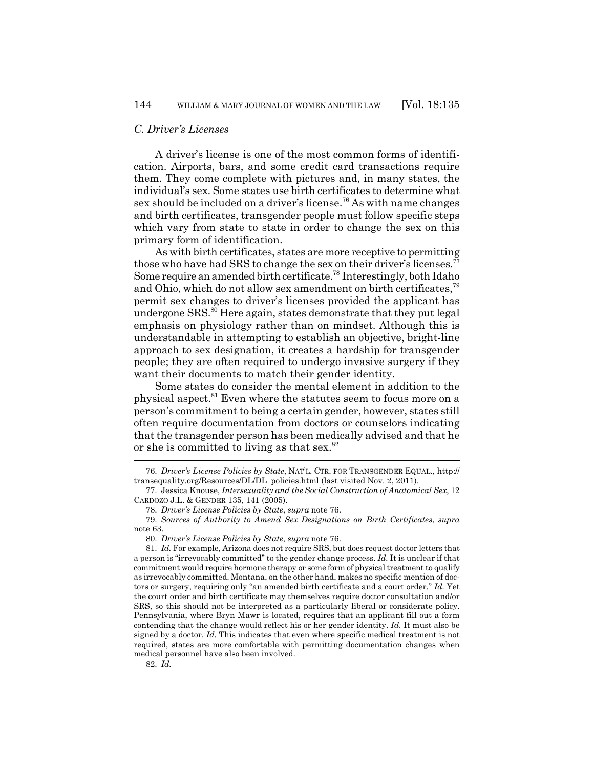#### *C. Driver's Licenses*

A driver's license is one of the most common forms of identification. Airports, bars, and some credit card transactions require them. They come complete with pictures and, in many states, the individual's sex. Some states use birth certificates to determine what sex should be included on a driver's license.<sup>76</sup> As with name changes and birth certificates, transgender people must follow specific steps which vary from state to state in order to change the sex on this primary form of identification.

As with birth certificates, states are more receptive to permitting those who have had SRS to change the sex on their driver's licenses.<sup>77</sup> Some require an amended birth certificate.<sup>78</sup> Interestingly, both Idaho and Ohio, which do not allow sex amendment on birth certificates,<sup>79</sup> permit sex changes to driver's licenses provided the applicant has undergone SRS.<sup>80</sup> Here again, states demonstrate that they put legal emphasis on physiology rather than on mindset. Although this is understandable in attempting to establish an objective, bright-line approach to sex designation, it creates a hardship for transgender people; they are often required to undergo invasive surgery if they want their documents to match their gender identity.

Some states do consider the mental element in addition to the physical aspect.<sup>81</sup> Even where the statutes seem to focus more on a person's commitment to being a certain gender, however, states still often require documentation from doctors or counselors indicating that the transgender person has been medically advised and that he or she is committed to living as that sex. $82$ 

78. *Driver's License Policies by State*, *supra* note 76.

80. *Driver's License Policies by State*, *supra* note 76.

82. *Id.*

<sup>76.</sup> *Driver's License Policies by State*, NAT'L. CTR. FOR TRANSGENDER EQUAL., http:// transequality.org/Resources/DL/DL\_policies.html (last visited Nov. 2, 2011).

<sup>77.</sup> Jessica Knouse, *Intersexuality and the Social Construction of Anatomical Sex*, 12 CARDOZO J.L. & GENDER 135, 141 (2005).

<sup>79.</sup> *Sources of Authority to Amend Sex Designations on Birth Certificates*, *supra* note 63.

<sup>81.</sup> *Id.* For example, Arizona does not require SRS, but does request doctor letters that a person is "irrevocably committed" to the gender change process. *Id.* It is unclear if that commitment would require hormone therapy or some form of physical treatment to qualify as irrevocably committed. Montana, on the other hand, makes no specific mention of doctors or surgery, requiring only "an amended birth certificate and a court order." *Id.* Yet the court order and birth certificate may themselves require doctor consultation and/or SRS, so this should not be interpreted as a particularly liberal or considerate policy. Pennsylvania, where Bryn Mawr is located, requires that an applicant fill out a form contending that the change would reflect his or her gender identity. *Id.* It must also be signed by a doctor. *Id.* This indicates that even where specific medical treatment is not required, states are more comfortable with permitting documentation changes when medical personnel have also been involved.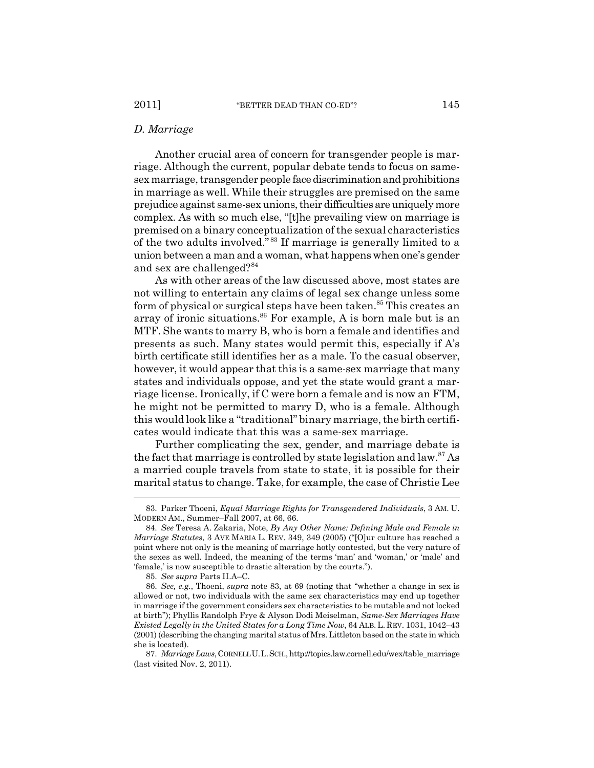#### *D. Marriage*

Another crucial area of concern for transgender people is marriage. Although the current, popular debate tends to focus on samesex marriage, transgender people face discrimination and prohibitions in marriage as well. While their struggles are premised on the same prejudice against same-sex unions, their difficulties are uniquely more complex. As with so much else, "[t]he prevailing view on marriage is premised on a binary conceptualization of the sexual characteristics of the two adults involved." <sup>83</sup> If marriage is generally limited to a union between a man and a woman, what happens when one's gender and sex are challenged?<sup>84</sup>

As with other areas of the law discussed above, most states are not willing to entertain any claims of legal sex change unless some form of physical or surgical steps have been taken.<sup>85</sup> This creates an array of ironic situations.<sup>86</sup> For example, A is born male but is an MTF. She wants to marry B, who is born a female and identifies and presents as such. Many states would permit this, especially if A's birth certificate still identifies her as a male. To the casual observer, however, it would appear that this is a same-sex marriage that many states and individuals oppose, and yet the state would grant a marriage license. Ironically, if C were born a female and is now an FTM, he might not be permitted to marry D, who is a female. Although this would look like a "traditional" binary marriage, the birth certificates would indicate that this was a same-sex marriage.

Further complicating the sex, gender, and marriage debate is the fact that marriage is controlled by state legislation and  $law.^{87}$  As a married couple travels from state to state, it is possible for their marital status to change. Take, for example, the case of Christie Lee

<sup>83.</sup> Parker Thoeni, *Equal Marriage Rights for Transgendered Individuals*, 3 AM. U. MODERN AM., Summer–Fall 2007, at 66, 66.

<sup>84.</sup> *See* Teresa A. Zakaria, Note, *By Any Other Name: Defining Male and Female in Marriage Statutes*, 3 AVE MARIA L. REV. 349, 349 (2005) ("[O]ur culture has reached a point where not only is the meaning of marriage hotly contested, but the very nature of the sexes as well. Indeed, the meaning of the terms 'man' and 'woman,' or 'male' and 'female,' is now susceptible to drastic alteration by the courts.").

<sup>85.</sup> *See supra* Parts II.A–C.

<sup>86.</sup> *See, e.g.*, Thoeni, *supra* note 83, at 69 (noting that "whether a change in sex is allowed or not, two individuals with the same sex characteristics may end up together in marriage if the government considers sex characteristics to be mutable and not locked at birth"); Phyllis Randolph Frye & Alyson Dodi Meiselman, *Same-Sex Marriages Have Existed Legally in the United States for a Long Time Now*, 64 ALB.L. REV. 1031, 1042–43 (2001) (describing the changing marital status of Mrs. Littleton based on the state in which she is located).

<sup>87.</sup> *Marriage Laws*, CORNELL U.L.SCH., http://topics.law.cornell.edu/wex/table\_marriage (last visited Nov. 2, 2011).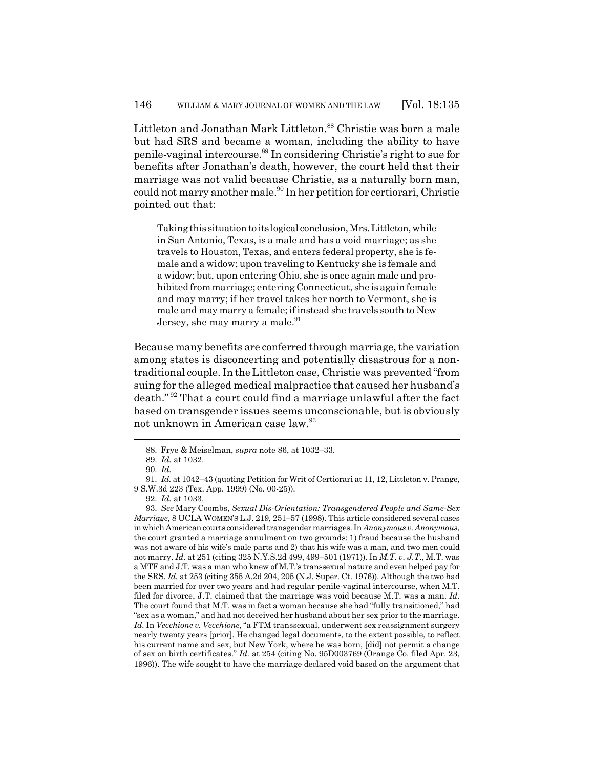Littleton and Jonathan Mark Littleton.<sup>88</sup> Christie was born a male but had SRS and became a woman, including the ability to have penile-vaginal intercourse.<sup>89</sup> In considering Christie's right to sue for benefits after Jonathan's death, however, the court held that their marriage was not valid because Christie, as a naturally born man, could not marry another male.<sup>90</sup> In her petition for certiorari, Christie pointed out that:

Taking this situation to its logical conclusion, Mrs. Littleton, while in San Antonio, Texas, is a male and has a void marriage; as she travels to Houston, Texas, and enters federal property, she is female and a widow; upon traveling to Kentucky she is female and a widow; but, upon entering Ohio, she is once again male and prohibited from marriage; entering Connecticut, she is again female and may marry; if her travel takes her north to Vermont, she is male and may marry a female; if instead she travels south to New Jersey, she may marry a male.<sup>91</sup>

Because many benefits are conferred through marriage, the variation among states is disconcerting and potentially disastrous for a nontraditional couple. In the Littleton case, Christie was prevented "from suing for the alleged medical malpractice that caused her husband's death." <sup>92</sup> That a court could find a marriage unlawful after the fact based on transgender issues seems unconscionable, but is obviously not unknown in American case law.<sup>93</sup>

93. *See* Mary Coombs, *Sexual Dis-Orientation: Transgendered People and Same-Sex Marriage*, 8 UCLA WOMEN'S L.J. 219, 251–57 (1998). This article considered several cases in which American courts considered transgender marriages. In *Anonymous v. Anonymous*, the court granted a marriage annulment on two grounds: 1) fraud because the husband was not aware of his wife's male parts and 2) that his wife was a man, and two men could not marry. *Id.* at 251 (citing 325 N.Y.S.2d 499, 499–501 (1971)). In *M.T. v. J.T.*, M.T. was a MTF and J.T. was a man who knew of M.T.'s transsexual nature and even helped pay for the SRS. *Id.* at 253 (citing 355 A.2d 204, 205 (N.J. Super. Ct. 1976)). Although the two had been married for over two years and had regular penile-vaginal intercourse, when M.T. filed for divorce, J.T. claimed that the marriage was void because M.T. was a man. *Id.* The court found that M.T. was in fact a woman because she had "fully transitioned," had "sex as a woman," and had not deceived her husband about her sex prior to the marriage. *Id.* In *Vecchione v. Vecchione*, "a FTM transsexual, underwent sex reassignment surgery nearly twenty years [prior]. He changed legal documents, to the extent possible, to reflect his current name and sex, but New York, where he was born, [did] not permit a change of sex on birth certificates." *Id.* at 254 (citing No. 95D003769 (Orange Co. filed Apr. 23, 1996)). The wife sought to have the marriage declared void based on the argument that

<sup>88.</sup> Frye & Meiselman, *supra* note 86, at 1032–33.

<sup>89.</sup> *Id.* at 1032.

<sup>90.</sup> *Id.*

<sup>91.</sup> *Id.* at 1042–43 (quoting Petition for Writ of Certiorari at 11, 12, Littleton v. Prange, 9 S.W.3d 223 (Tex. App. 1999) (No. 00-25)).

<sup>92.</sup> *Id.* at 1033.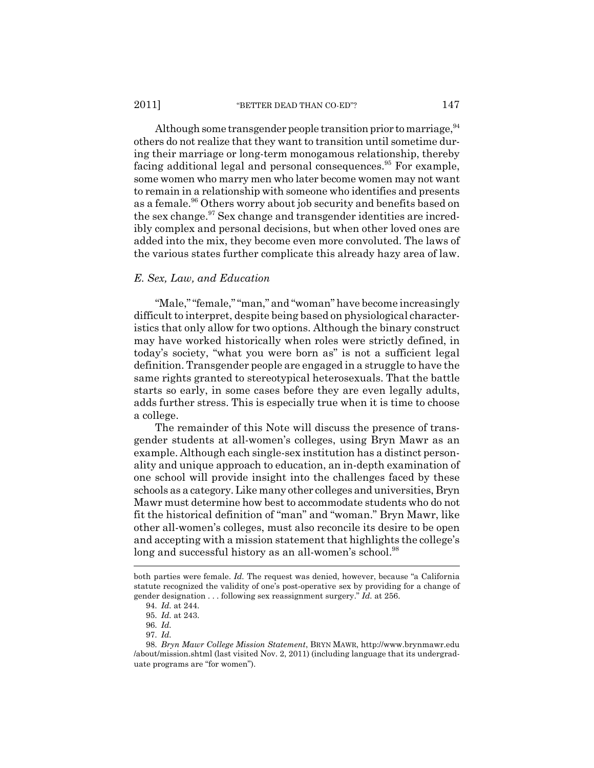Although some transgender people transition prior to marriage,  $94$ others do not realize that they want to transition until sometime during their marriage or long-term monogamous relationship, thereby facing additional legal and personal consequences.<sup>95</sup> For example, some women who marry men who later become women may not want to remain in a relationship with someone who identifies and presents as a female.<sup>96</sup> Others worry about job security and benefits based on the sex change.<sup>97</sup> Sex change and transgender identities are incredibly complex and personal decisions, but when other loved ones are added into the mix, they become even more convoluted. The laws of the various states further complicate this already hazy area of law.

#### *E. Sex, Law, and Education*

"Male," "female," "man," and "woman" have become increasingly difficult to interpret, despite being based on physiological characteristics that only allow for two options. Although the binary construct may have worked historically when roles were strictly defined, in today's society, "what you were born as" is not a sufficient legal definition. Transgender people are engaged in a struggle to have the same rights granted to stereotypical heterosexuals. That the battle starts so early, in some cases before they are even legally adults, adds further stress. This is especially true when it is time to choose a college.

The remainder of this Note will discuss the presence of transgender students at all-women's colleges, using Bryn Mawr as an example. Although each single-sex institution has a distinct personality and unique approach to education, an in-depth examination of one school will provide insight into the challenges faced by these schools as a category. Like many other colleges and universities, Bryn Mawr must determine how best to accommodate students who do not fit the historical definition of "man" and "woman." Bryn Mawr, like other all-women's colleges, must also reconcile its desire to be open and accepting with a mission statement that highlights the college's long and successful history as an all-women's school.<sup>98</sup>

both parties were female. *Id.* The request was denied, however, because "a California statute recognized the validity of one's post-operative sex by providing for a change of gender designation . . . following sex reassignment surgery." *Id.* at 256.

<sup>94.</sup> *Id.* at 244.

<sup>95.</sup> *Id.* at 243.

<sup>96.</sup> *Id.*

<sup>97.</sup> *Id.*

<sup>98.</sup> *Bryn Mawr College Mission Statement*, BRYN MAWR, http://www.brynmawr.edu /about/mission.shtml (last visited Nov. 2, 2011) (including language that its undergraduate programs are "for women").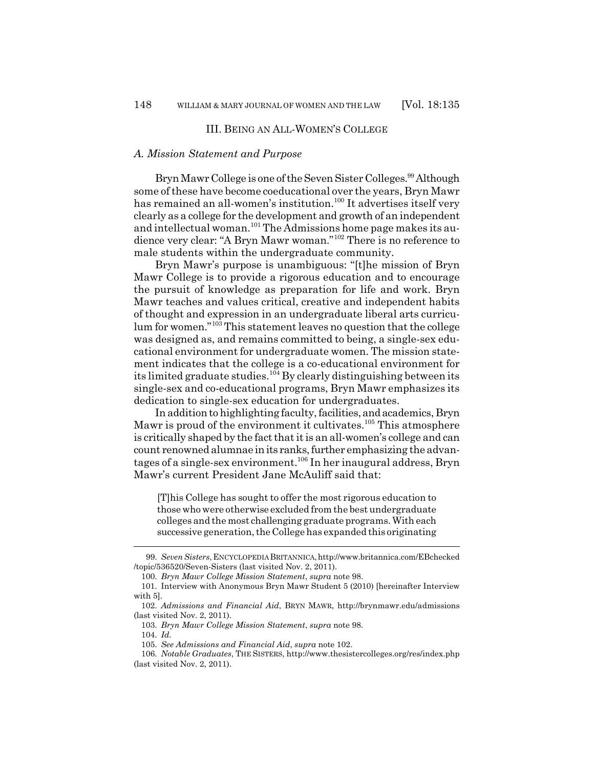#### III. BEING AN ALL-WOMEN'S COLLEGE

#### *A. Mission Statement and Purpose*

Bryn Mawr College is one of the Seven Sister Colleges.<sup>99</sup> Although some of these have become coeducational over the years, Bryn Mawr has remained an all-women's institution.<sup>100</sup> It advertises itself very clearly as a college for the development and growth of an independent and intellectual woman.<sup>101</sup> The Admissions home page makes its audience very clear: "A Bryn Mawr woman."<sup>102</sup> There is no reference to male students within the undergraduate community.

Bryn Mawr's purpose is unambiguous: "[t]he mission of Bryn Mawr College is to provide a rigorous education and to encourage the pursuit of knowledge as preparation for life and work. Bryn Mawr teaches and values critical, creative and independent habits of thought and expression in an undergraduate liberal arts curriculum for women."<sup>103</sup> This statement leaves no question that the college was designed as, and remains committed to being, a single-sex educational environment for undergraduate women. The mission statement indicates that the college is a co-educational environment for its limited graduate studies.<sup>104</sup> By clearly distinguishing between its single-sex and co-educational programs, Bryn Mawr emphasizes its dedication to single-sex education for undergraduates.

In addition to highlighting faculty, facilities, and academics, Bryn Mawr is proud of the environment it cultivates.<sup>105</sup> This atmosphere is critically shaped by the fact that it is an all-women's college and can count renowned alumnae in its ranks, further emphasizing the advantages of a single-sex environment.<sup>106</sup> In her inaugural address, Bryn Mawr's current President Jane McAuliff said that:

[T]his College has sought to offer the most rigorous education to those who were otherwise excluded from the best undergraduate colleges and the most challenging graduate programs. With each successive generation, the College has expanded this originating

<sup>99.</sup> *Seven Sisters*, ENCYCLOPEDIA BRITANNICA, http://www.britannica.com/EBchecked /topic/536520/Seven-Sisters (last visited Nov. 2, 2011).

<sup>100.</sup> *Bryn Mawr College Mission Statement*, *supra* note 98.

<sup>101.</sup> Interview with Anonymous Bryn Mawr Student 5 (2010) [hereinafter Interview with 5].

<sup>102.</sup> *Admissions and Financial Aid*, BRYN MAWR, http://brynmawr.edu/admissions (last visited Nov. 2, 2011).

<sup>103.</sup> *Bryn Mawr College Mission Statement*, *supra* note 98.

<sup>104.</sup> *Id.*

<sup>105.</sup> *See Admissions and Financial Aid*, *supra* note 102.

<sup>106.</sup> *Notable Graduates*, THE SISTERS, http://www.thesistercolleges.org/res/index.php (last visited Nov. 2, 2011).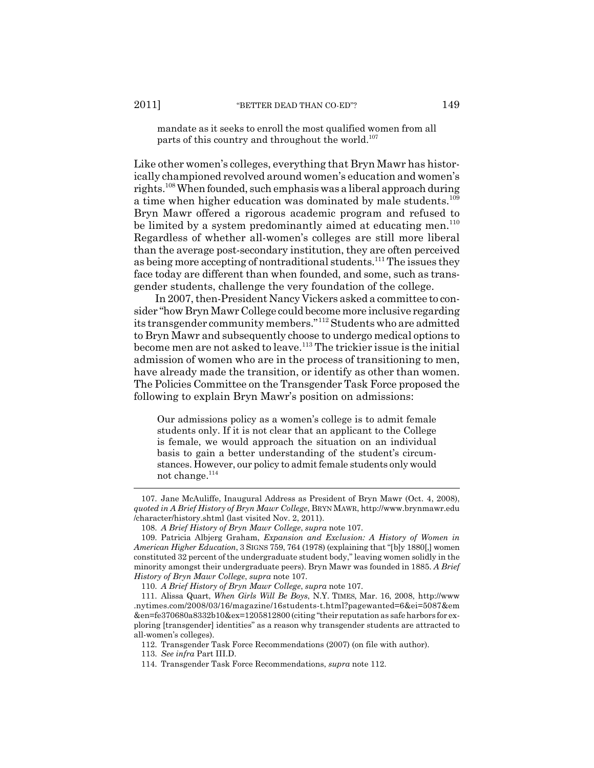mandate as it seeks to enroll the most qualified women from all parts of this country and throughout the world.<sup>107</sup>

Like other women's colleges, everything that Bryn Mawr has historically championed revolved around women's education and women's rights.<sup>108</sup> When founded, such emphasis was a liberal approach during a time when higher education was dominated by male students.<sup>109</sup> Bryn Mawr offered a rigorous academic program and refused to be limited by a system predominantly aimed at educating men. $^{110}$ Regardless of whether all-women's colleges are still more liberal than the average post-secondary institution, they are often perceived as being more accepting of nontraditional students.<sup>111</sup> The issues they face today are different than when founded, and some, such as transgender students, challenge the very foundation of the college.

In 2007, then-President Nancy Vickers asked a committee to consider "how Bryn Mawr College could become more inclusive regarding its transgender community members."<sup>112</sup> Students who are admitted to Bryn Mawr and subsequently choose to undergo medical options to become men are not asked to leave.<sup>113</sup> The trickier issue is the initial admission of women who are in the process of transitioning to men, have already made the transition, or identify as other than women. The Policies Committee on the Transgender Task Force proposed the following to explain Bryn Mawr's position on admissions:

Our admissions policy as a women's college is to admit female students only. If it is not clear that an applicant to the College is female, we would approach the situation on an individual basis to gain a better understanding of the student's circumstances. However, our policy to admit female students only would not change. $^{114}$ 

<sup>107.</sup> Jane McAuliffe, Inaugural Address as President of Bryn Mawr (Oct. 4, 2008), *quoted in A Brief History of Bryn Mawr College*, BRYN MAWR, http://www.brynmawr.edu /character/history.shtml (last visited Nov. 2, 2011).

<sup>108.</sup> *A Brief History of Bryn Mawr College*, *supra* note 107.

<sup>109.</sup> Patricia Albjerg Graham, *Expansion and Exclusion: A History of Women in American Higher Education*, 3 SIGNS 759, 764 (1978) (explaining that "[b]y 1880[,] women constituted 32 percent of the undergraduate student body," leaving women solidly in the minority amongst their undergraduate peers). Bryn Mawr was founded in 1885. *A Brief History of Bryn Mawr College*, *supra* note 107.

<sup>110.</sup> *A Brief History of Bryn Mawr College*, *supra* note 107.

<sup>111.</sup> Alissa Quart, *When Girls Will Be Boys*, N.Y. TIMES, Mar. 16, 2008, http://www .nytimes.com/2008/03/16/magazine/16students-t.html?pagewanted=6&ei=5087&em &en=fe370680a8332b10&ex=1205812800 (citing "their reputation as safe harbors for exploring [transgender] identities" as a reason why transgender students are attracted to all-women's colleges).

<sup>112.</sup> Transgender Task Force Recommendations (2007) (on file with author).

<sup>113.</sup> *See infra* Part III.D.

<sup>114.</sup> Transgender Task Force Recommendations, *supra* note 112.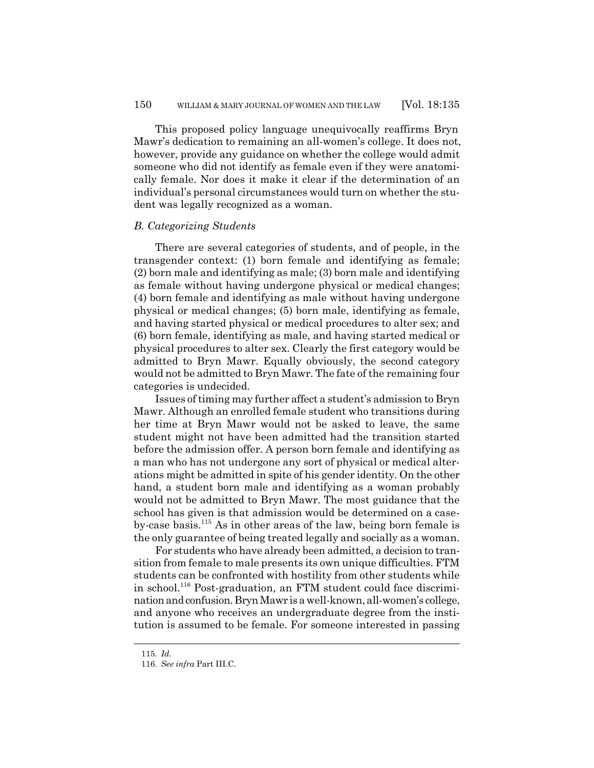This proposed policy language unequivocally reaffirms Bryn Mawr's dedication to remaining an all-women's college. It does not, however, provide any guidance on whether the college would admit someone who did not identify as female even if they were anatomically female. Nor does it make it clear if the determination of an individual's personal circumstances would turn on whether the student was legally recognized as a woman.

#### *B. Categorizing Students*

There are several categories of students, and of people, in the transgender context: (1) born female and identifying as female; (2) born male and identifying as male; (3) born male and identifying as female without having undergone physical or medical changes; (4) born female and identifying as male without having undergone physical or medical changes; (5) born male, identifying as female, and having started physical or medical procedures to alter sex; and (6) born female, identifying as male, and having started medical or physical procedures to alter sex. Clearly the first category would be admitted to Bryn Mawr. Equally obviously, the second category would not be admitted to Bryn Mawr. The fate of the remaining four categories is undecided.

Issues of timing may further affect a student's admission to Bryn Mawr. Although an enrolled female student who transitions during her time at Bryn Mawr would not be asked to leave, the same student might not have been admitted had the transition started before the admission offer. A person born female and identifying as a man who has not undergone any sort of physical or medical alterations might be admitted in spite of his gender identity. On the other hand, a student born male and identifying as a woman probably would not be admitted to Bryn Mawr. The most guidance that the school has given is that admission would be determined on a caseby-case basis.<sup>115</sup> As in other areas of the law, being born female is the only guarantee of being treated legally and socially as a woman.

For students who have already been admitted, a decision to transition from female to male presents its own unique difficulties. FTM students can be confronted with hostility from other students while in school.<sup>116</sup> Post-graduation, an FTM student could face discrimination and confusion. Bryn Mawr is a well-known, all-women's college, and anyone who receives an undergraduate degree from the institution is assumed to be female. For someone interested in passing

<sup>115.</sup> *Id.*

<sup>116.</sup> *See infra* Part III.C.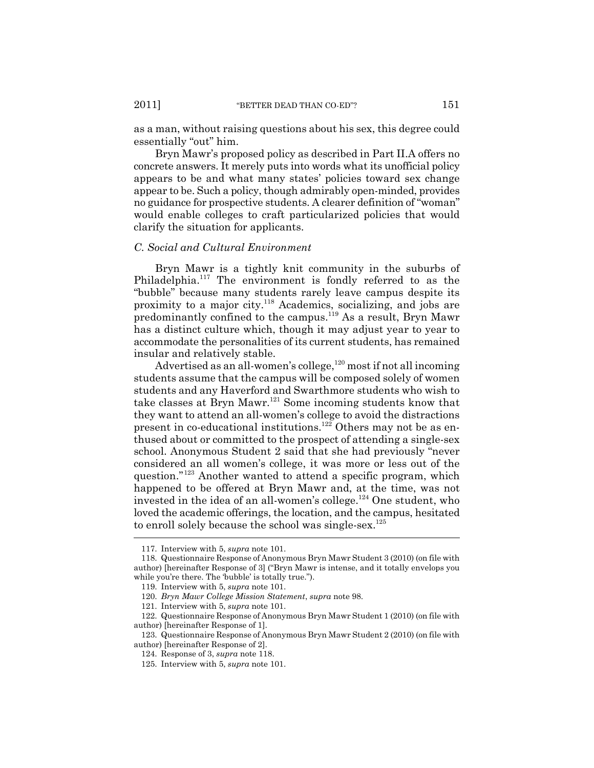as a man, without raising questions about his sex, this degree could essentially "out" him.

Bryn Mawr's proposed policy as described in Part II.A offers no concrete answers. It merely puts into words what its unofficial policy appears to be and what many states' policies toward sex change appear to be. Such a policy, though admirably open-minded, provides no guidance for prospective students. A clearer definition of "woman" would enable colleges to craft particularized policies that would clarify the situation for applicants.

#### *C. Social and Cultural Environment*

Bryn Mawr is a tightly knit community in the suburbs of Philadelphia.<sup>117</sup> The environment is fondly referred to as the "bubble" because many students rarely leave campus despite its proximity to a major city.<sup>118</sup> Academics, socializing, and jobs are predominantly confined to the campus.<sup>119</sup> As a result, Bryn Mawr has a distinct culture which, though it may adjust year to year to accommodate the personalities of its current students, has remained insular and relatively stable.

Advertised as an all-women's college,  $120$  most if not all incoming students assume that the campus will be composed solely of women students and any Haverford and Swarthmore students who wish to take classes at Bryn Mawr.<sup>121</sup> Some incoming students know that they want to attend an all-women's college to avoid the distractions present in co-educational institutions.<sup>122</sup> Others may not be as enthused about or committed to the prospect of attending a single-sex school. Anonymous Student 2 said that she had previously "never considered an all women's college, it was more or less out of the question."<sup>123</sup> Another wanted to attend a specific program, which happened to be offered at Bryn Mawr and, at the time, was not invested in the idea of an all-women's college.<sup>124</sup> One student, who loved the academic offerings, the location, and the campus, hesitated to enroll solely because the school was single-sex.<sup>125</sup>

<sup>117.</sup> Interview with 5, *supra* note 101.

<sup>118.</sup> Questionnaire Response of Anonymous Bryn Mawr Student 3 (2010) (on file with author) [hereinafter Response of 3] ("Bryn Mawr is intense, and it totally envelops you while you're there. The 'bubble' is totally true.").

<sup>119.</sup> Interview with 5, *supra* note 101.

<sup>120.</sup> *Bryn Mawr College Mission Statement*, *supra* note 98.

<sup>121.</sup> Interview with 5, *supra* note 101.

<sup>122.</sup> Questionnaire Response of Anonymous Bryn Mawr Student 1 (2010) (on file with author) [hereinafter Response of 1].

<sup>123.</sup> Questionnaire Response of Anonymous Bryn Mawr Student 2 (2010) (on file with author) [hereinafter Response of 2].

<sup>124.</sup> Response of 3, *supra* note 118.

<sup>125.</sup> Interview with 5, *supra* note 101.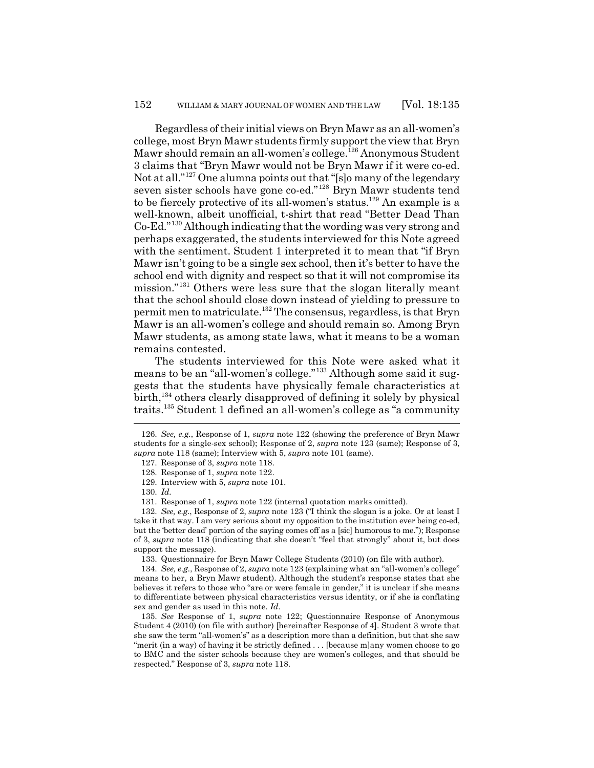Regardless of their initial views on Bryn Mawr as an all-women's college, most Bryn Mawr students firmly support the view that Bryn Mawr should remain an all-women's college.<sup>126</sup> Anonymous Student 3 claims that "Bryn Mawr would not be Bryn Mawr if it were co-ed. Not at all."<sup>127</sup> One alumna points out that "[s]o many of the legendary seven sister schools have gone co-ed."<sup>128</sup> Bryn Mawr students tend to be fiercely protective of its all-women's status.<sup>129</sup> An example is a well-known, albeit unofficial, t-shirt that read "Better Dead Than Co-Ed."<sup>130</sup> Although indicating that the wording was very strong and perhaps exaggerated, the students interviewed for this Note agreed with the sentiment. Student 1 interpreted it to mean that "if Bryn Mawr isn't going to be a single sex school, then it's better to have the school end with dignity and respect so that it will not compromise its mission."<sup>131</sup> Others were less sure that the slogan literally meant that the school should close down instead of yielding to pressure to permit men to matriculate.<sup>132</sup> The consensus, regardless, is that Bryn Mawr is an all-women's college and should remain so. Among Bryn Mawr students, as among state laws, what it means to be a woman remains contested.

The students interviewed for this Note were asked what it means to be an "all-women's college."<sup>133</sup> Although some said it suggests that the students have physically female characteristics at birth,<sup>134</sup> others clearly disapproved of defining it solely by physical traits.<sup>135</sup> Student 1 defined an all-women's college as "a community

133. Questionnaire for Bryn Mawr College Students (2010) (on file with author).

134. *See, e.g.*, Response of 2, *supra* note 123 (explaining what an "all-women's college" means to her, a Bryn Mawr student). Although the student's response states that she believes it refers to those who "are or were female in gender," it is unclear if she means to differentiate between physical characteristics versus identity, or if she is conflating sex and gender as used in this note. *Id.*

135. *See* Response of 1, *supra* note 122; Questionnaire Response of Anonymous Student 4 (2010) (on file with author) [hereinafter Response of 4]. Student 3 wrote that she saw the term "all-women's" as a description more than a definition, but that she saw "merit (in a way) of having it be strictly defined . . . [because m]any women choose to go to BMC and the sister schools because they are women's colleges, and that should be respected." Response of 3, *supra* note 118.

<sup>126.</sup> *See, e.g.*, Response of 1, *supra* note 122 (showing the preference of Bryn Mawr students for a single-sex school); Response of 2, *supra* note 123 (same); Response of 3, *supra* note 118 (same); Interview with 5, *supra* note 101 (same).

<sup>127.</sup> Response of 3, *supra* note 118.

<sup>128.</sup> Response of 1, *supra* note 122.

<sup>129.</sup> Interview with 5, *supra* note 101.

<sup>130.</sup> *Id.*

<sup>131.</sup> Response of 1, *supra* note 122 (internal quotation marks omitted).

<sup>132.</sup> *See, e.g.*, Response of 2, *supra* note 123 ("I think the slogan is a joke. Or at least I take it that way. I am very serious about my opposition to the institution ever being co-ed, but the 'better dead' portion of the saying comes off as a [sic] humorous to me."); Response of 3, *supra* note 118 (indicating that she doesn't "feel that strongly" about it, but does support the message).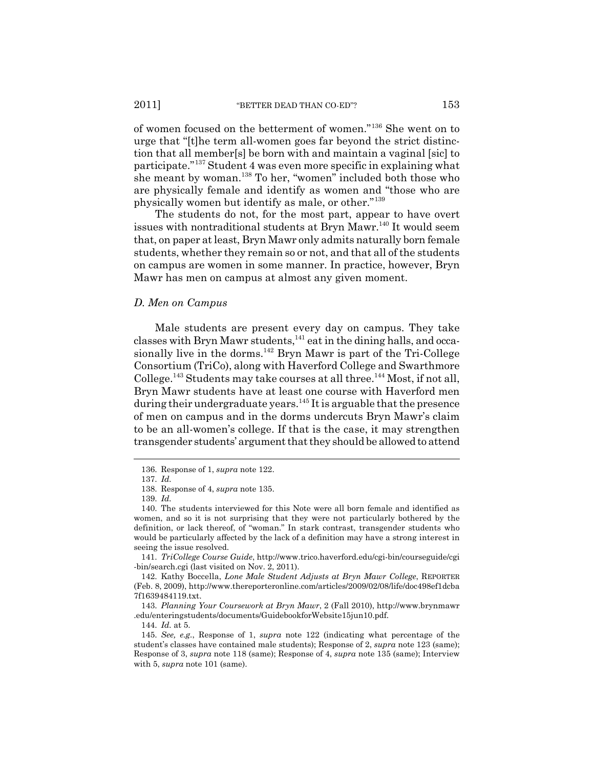of women focused on the betterment of women."<sup>136</sup> She went on to urge that "[t]he term all-women goes far beyond the strict distinction that all member[s] be born with and maintain a vaginal [sic] to participate."<sup>137</sup> Student 4 was even more specific in explaining what she meant by woman.<sup>138</sup> To her, "women" included both those who are physically female and identify as women and "those who are physically women but identify as male, or other."<sup>139</sup>

The students do not, for the most part, appear to have overt issues with nontraditional students at Bryn Mawr.<sup>140</sup> It would seem that, on paper at least, Bryn Mawr only admits naturally born female students, whether they remain so or not, and that all of the students on campus are women in some manner. In practice, however, Bryn Mawr has men on campus at almost any given moment.

#### *D. Men on Campus*

Male students are present every day on campus. They take classes with Bryn Mawr students, $^{141}$  eat in the dining halls, and occasionally live in the dorms.<sup>142</sup> Bryn Mawr is part of the Tri-College Consortium (TriCo), along with Haverford College and Swarthmore College.<sup>143</sup> Students may take courses at all three.<sup>144</sup> Most, if not all, Bryn Mawr students have at least one course with Haverford men during their undergraduate years.<sup>145</sup> It is arguable that the presence of men on campus and in the dorms undercuts Bryn Mawr's claim to be an all-women's college. If that is the case, it may strengthen transgender students' argument that they should be allowed to attend

143. *Planning Your Coursework at Bryn Mawr*, 2 (Fall 2010), http://www.brynmawr .edu/enteringstudents/documents/GuidebookforWebsite15jun10.pdf.

<sup>136.</sup> Response of 1, *supra* note 122.

<sup>137.</sup> *Id.*

<sup>138.</sup> Response of 4, *supra* note 135.

<sup>139.</sup> *Id.*

<sup>140.</sup> The students interviewed for this Note were all born female and identified as women, and so it is not surprising that they were not particularly bothered by the definition, or lack thereof, of "woman." In stark contrast, transgender students who would be particularly affected by the lack of a definition may have a strong interest in seeing the issue resolved.

<sup>141.</sup> *TriCollege Course Guide*, http://www.trico.haverford.edu/cgi-bin/courseguide/cgi -bin/search.cgi (last visited on Nov. 2, 2011).

<sup>142.</sup> Kathy Boccella, *Lone Male Student Adjusts at Bryn Mawr College*, REPORTER (Feb. 8, 2009), http://www.thereporteronline.com/articles/2009/02/08/life/doc498ef1dcba 7f1639484119.txt.

<sup>144.</sup> *Id.* at 5.

<sup>145.</sup> *See, e.g.*, Response of 1, *supra* note 122 (indicating what percentage of the student's classes have contained male students); Response of 2, *supra* note 123 (same); Response of 3, *supra* note 118 (same); Response of 4, *supra* note 135 (same); Interview with 5, *supra* note 101 (same).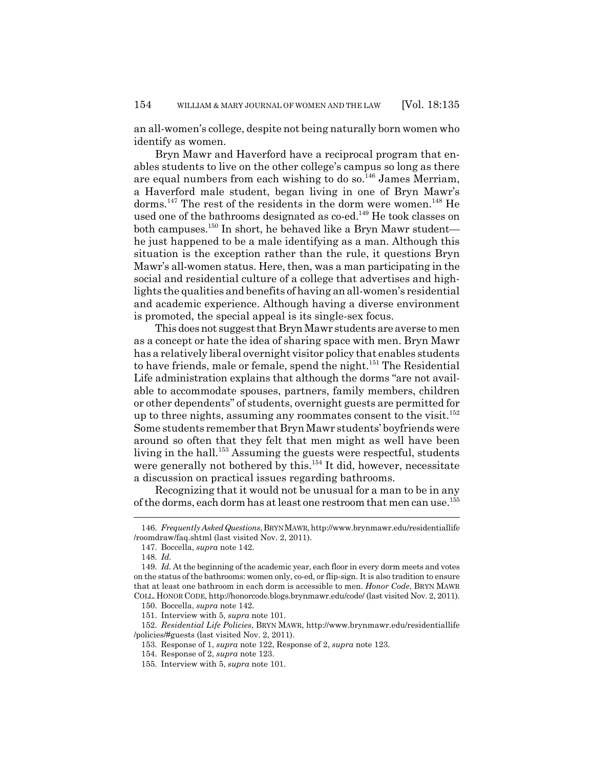an all-women's college, despite not being naturally born women who identify as women.

Bryn Mawr and Haverford have a reciprocal program that enables students to live on the other college's campus so long as there are equal numbers from each wishing to do so. $^{146}$  James Merriam, a Haverford male student, began living in one of Bryn Mawr's dorms.<sup>147</sup> The rest of the residents in the dorm were women.<sup>148</sup> He used one of the bathrooms designated as co-ed.<sup>149</sup> He took classes on both campuses.<sup>150</sup> In short, he behaved like a Bryn Mawr student he just happened to be a male identifying as a man. Although this situation is the exception rather than the rule, it questions Bryn Mawr's all-women status. Here, then, was a man participating in the social and residential culture of a college that advertises and highlights the qualities and benefits of having an all-women's residential and academic experience. Although having a diverse environment is promoted, the special appeal is its single-sex focus.

This does not suggest that Bryn Mawr students are averse to men as a concept or hate the idea of sharing space with men. Bryn Mawr has a relatively liberal overnight visitor policy that enables students to have friends, male or female, spend the night.<sup>151</sup> The Residential Life administration explains that although the dorms "are not available to accommodate spouses, partners, family members, children or other dependents" of students, overnight guests are permitted for up to three nights, assuming any roommates consent to the visit.<sup>152</sup> Some students remember that Bryn Mawr students' boyfriends were around so often that they felt that men might as well have been living in the hall.<sup>153</sup> Assuming the guests were respectful, students were generally not bothered by this.<sup>154</sup> It did, however, necessitate a discussion on practical issues regarding bathrooms.

Recognizing that it would not be unusual for a man to be in any of the dorms, each dorm has at least one restroom that men can use.<sup>155</sup>

<sup>146.</sup> *Frequently Asked Questions*, BRYN MAWR, http://www.brynmawr.edu/residentiallife /roomdraw/faq.shtml (last visited Nov. 2, 2011).

<sup>147.</sup> Boccella, *supra* note 142.

<sup>148.</sup> *Id.*

<sup>149.</sup> *Id.* At the beginning of the academic year, each floor in every dorm meets and votes on the status of the bathrooms: women only, co-ed, or flip-sign. It is also tradition to ensure that at least one bathroom in each dorm is accessible to men. *Honor Code*, BRYN MAWR COLL. HONOR CODE, http://honorcode.blogs.brynmawr.edu/code/ (last visited Nov. 2, 2011).

<sup>150.</sup> Boccella, *supra* note 142.

<sup>151.</sup> Interview with 5, *supra* note 101.

<sup>152.</sup> *Residential Life Policies*, BRYN MAWR, http://www.brynmawr.edu/residentiallife /policies/#guests (last visited Nov. 2, 2011).

<sup>153.</sup> Response of 1, *supra* note 122, Response of 2, *supra* note 123.

<sup>154.</sup> Response of 2, *supra* note 123.

<sup>155.</sup> Interview with 5, *supra* note 101.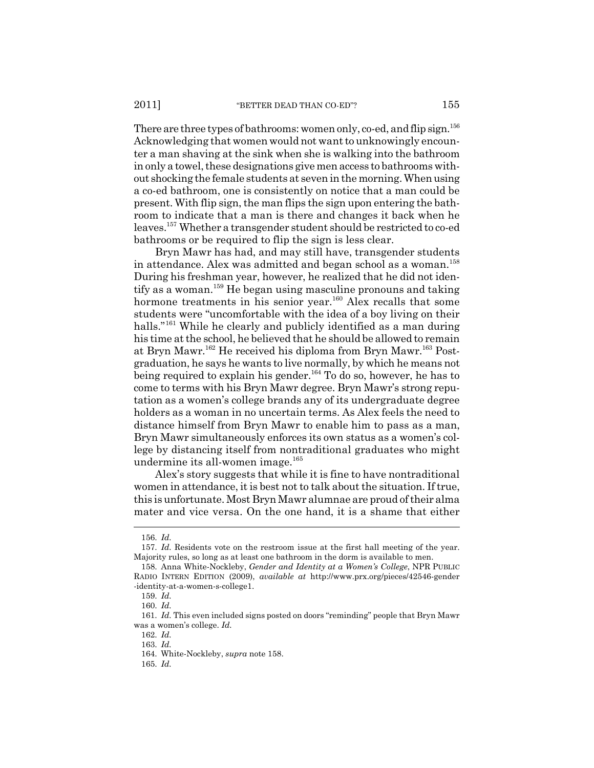There are three types of bathrooms: women only, co-ed, and flip sign.<sup>156</sup> Acknowledging that women would not want to unknowingly encounter a man shaving at the sink when she is walking into the bathroom in only a towel, these designations give men access to bathrooms without shocking the female students at seven in the morning. When using a co-ed bathroom, one is consistently on notice that a man could be present. With flip sign, the man flips the sign upon entering the bathroom to indicate that a man is there and changes it back when he leaves.<sup>157</sup> Whether a transgender student should be restricted to co-ed bathrooms or be required to flip the sign is less clear.

Bryn Mawr has had, and may still have, transgender students in attendance. Alex was admitted and began school as a woman.<sup>158</sup> During his freshman year, however, he realized that he did not identify as a woman.<sup>159</sup> He began using masculine pronouns and taking hormone treatments in his senior year.<sup>160</sup> Alex recalls that some students were "uncomfortable with the idea of a boy living on their halls."<sup>161</sup> While he clearly and publicly identified as a man during his time at the school, he believed that he should be allowed to remain at Bryn Mawr.<sup>162</sup> He received his diploma from Bryn Mawr.<sup>163</sup> Postgraduation, he says he wants to live normally, by which he means not being required to explain his gender.<sup>164</sup> To do so, however, he has to come to terms with his Bryn Mawr degree. Bryn Mawr's strong reputation as a women's college brands any of its undergraduate degree holders as a woman in no uncertain terms. As Alex feels the need to distance himself from Bryn Mawr to enable him to pass as a man, Bryn Mawr simultaneously enforces its own status as a women's college by distancing itself from nontraditional graduates who might undermine its all-women image.<sup>165</sup>

Alex's story suggests that while it is fine to have nontraditional women in attendance, it is best not to talk about the situation. If true, this is unfortunate. Most Bryn Mawr alumnae are proud of their alma mater and vice versa. On the one hand, it is a shame that either

<sup>156.</sup> *Id.*

<sup>157.</sup> *Id.* Residents vote on the restroom issue at the first hall meeting of the year. Majority rules, so long as at least one bathroom in the dorm is available to men.

<sup>158.</sup> Anna White-Nockleby, *Gender and Identity at a Women's College*, NPR PUBLIC RADIO INTERN EDITION (2009), *available at* http://www.prx.org/pieces/42546-gender -identity-at-a-women-s-college1.

<sup>159.</sup> *Id.*

<sup>160.</sup> *Id.*

<sup>161.</sup> *Id.* This even included signs posted on doors "reminding" people that Bryn Mawr was a women's college. *Id.*

<sup>162.</sup> *Id.*

<sup>163.</sup> *Id.*

<sup>164.</sup> White-Nockleby, *supra* note 158.

<sup>165.</sup> *Id.*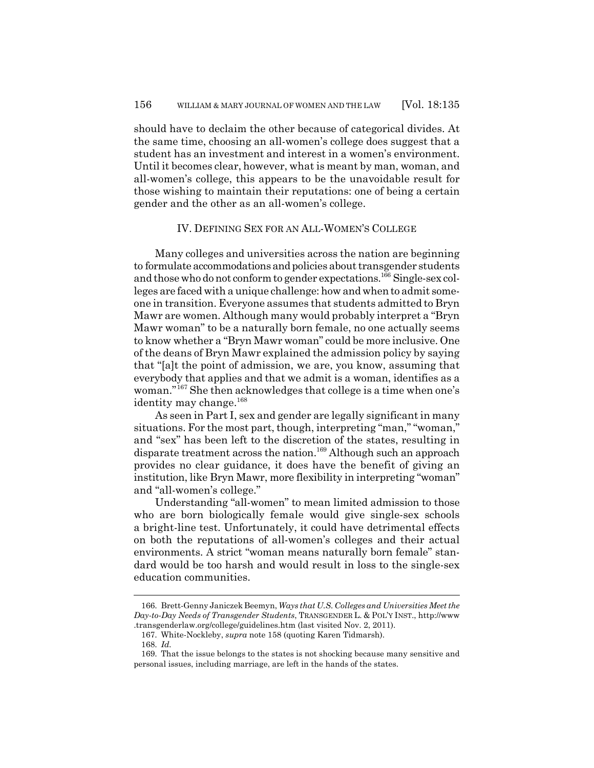should have to declaim the other because of categorical divides. At the same time, choosing an all-women's college does suggest that a student has an investment and interest in a women's environment. Until it becomes clear, however, what is meant by man, woman, and all-women's college, this appears to be the unavoidable result for those wishing to maintain their reputations: one of being a certain gender and the other as an all-women's college.

#### IV. DEFINING SEX FOR AN ALL-WOMEN'S COLLEGE

Many colleges and universities across the nation are beginning to formulate accommodations and policies about transgender students and those who do not conform to gender expectations.<sup>166</sup> Single-sex colleges are faced with a unique challenge: how and when to admit someone in transition. Everyone assumes that students admitted to Bryn Mawr are women. Although many would probably interpret a "Bryn Mawr woman" to be a naturally born female, no one actually seems to know whether a "Bryn Mawr woman" could be more inclusive. One of the deans of Bryn Mawr explained the admission policy by saying that "[a]t the point of admission, we are, you know, assuming that everybody that applies and that we admit is a woman, identifies as a woman."<sup>167</sup> She then acknowledges that college is a time when one's identity may change.<sup>168</sup>

As seen in Part I, sex and gender are legally significant in many situations. For the most part, though, interpreting "man," "woman," and "sex" has been left to the discretion of the states, resulting in disparate treatment across the nation.<sup>169</sup> Although such an approach provides no clear guidance, it does have the benefit of giving an institution, like Bryn Mawr, more flexibility in interpreting "woman" and "all-women's college."

Understanding "all-women" to mean limited admission to those who are born biologically female would give single-sex schools a bright-line test. Unfortunately, it could have detrimental effects on both the reputations of all-women's colleges and their actual environments. A strict "woman means naturally born female" standard would be too harsh and would result in loss to the single-sex education communities.

<sup>166.</sup> Brett-Genny Janiczek Beemyn, *Ways that U.S. Colleges and Universities Meet the Day-to-Day Needs of Transgender Students*, TRANSGENDER L. & POL'Y INST., http://www .transgenderlaw.org/college/guidelines.htm (last visited Nov. 2, 2011).

<sup>167.</sup> White-Nockleby, *supra* note 158 (quoting Karen Tidmarsh).

<sup>168.</sup> *Id.*

<sup>169.</sup> That the issue belongs to the states is not shocking because many sensitive and personal issues, including marriage, are left in the hands of the states.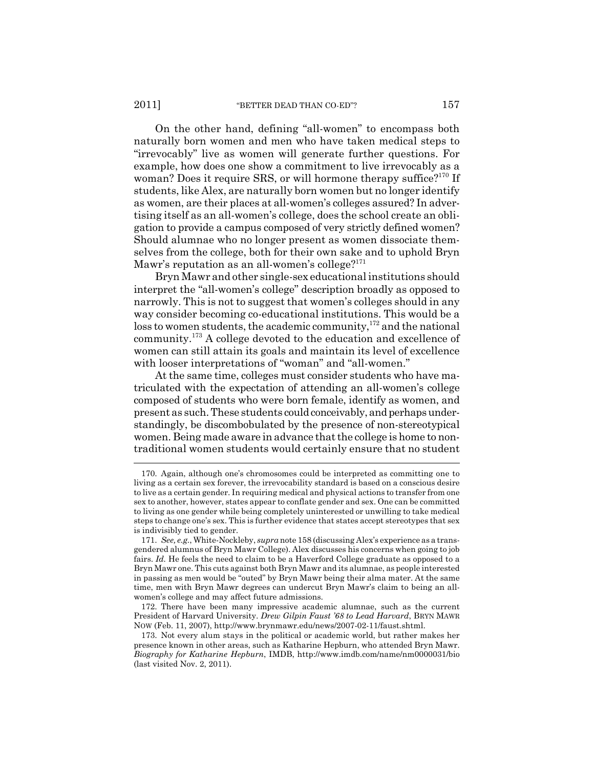On the other hand, defining "all-women" to encompass both naturally born women and men who have taken medical steps to "irrevocably" live as women will generate further questions. For example, how does one show a commitment to live irrevocably as a woman? Does it require SRS, or will hormone therapy suffice?<sup>170</sup> If students, like Alex, are naturally born women but no longer identify as women, are their places at all-women's colleges assured? In advertising itself as an all-women's college, does the school create an obligation to provide a campus composed of very strictly defined women? Should alumnae who no longer present as women dissociate themselves from the college, both for their own sake and to uphold Bryn Mawr's reputation as an all-women's college? $171$ 

Bryn Mawr and other single-sex educational institutions should interpret the "all-women's college" description broadly as opposed to narrowly. This is not to suggest that women's colleges should in any way consider becoming co-educational institutions. This would be a loss to women students, the academic community,<sup>172</sup> and the national community.<sup>173</sup> A college devoted to the education and excellence of women can still attain its goals and maintain its level of excellence with looser interpretations of "woman" and "all-women."

At the same time, colleges must consider students who have matriculated with the expectation of attending an all-women's college composed of students who were born female, identify as women, and present as such. These students could conceivably, and perhaps understandingly, be discombobulated by the presence of non-stereotypical women. Being made aware in advance that the college is home to nontraditional women students would certainly ensure that no student

<sup>170.</sup> Again, although one's chromosomes could be interpreted as committing one to living as a certain sex forever, the irrevocability standard is based on a conscious desire to live as a certain gender. In requiring medical and physical actions to transfer from one sex to another, however, states appear to conflate gender and sex. One can be committed to living as one gender while being completely uninterested or unwilling to take medical steps to change one's sex. This is further evidence that states accept stereotypes that sex is indivisibly tied to gender.

<sup>171.</sup> *See, e.g.*, White-Nockleby, *supra* note 158 (discussing Alex's experience as a transgendered alumnus of Bryn Mawr College). Alex discusses his concerns when going to job fairs. *Id.* He feels the need to claim to be a Haverford College graduate as opposed to a Bryn Mawr one. This cuts against both Bryn Mawr and its alumnae, as people interested in passing as men would be "outed" by Bryn Mawr being their alma mater. At the same time, men with Bryn Mawr degrees can undercut Bryn Mawr's claim to being an allwomen's college and may affect future admissions.

<sup>172.</sup> There have been many impressive academic alumnae, such as the current President of Harvard University. *Drew Gilpin Faust '68 to Lead Harvard*, BRYN MAWR NOW (Feb. 11, 2007), http://www.brynmawr.edu/news/2007-02-11/faust.shtml.

<sup>173.</sup> Not every alum stays in the political or academic world, but rather makes her presence known in other areas, such as Katharine Hepburn, who attended Bryn Mawr. *Biography for Katharine Hepburn*, IMDB, http://www.imdb.com/name/nm0000031/bio (last visited Nov. 2, 2011).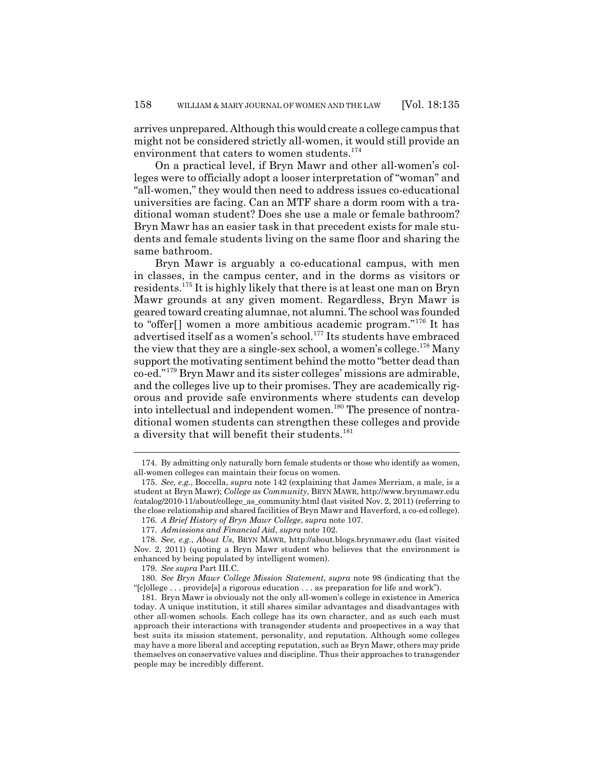arrives unprepared. Although this would create a college campus that might not be considered strictly all-women, it would still provide an environment that caters to women students.<sup>174</sup>

On a practical level, if Bryn Mawr and other all-women's colleges were to officially adopt a looser interpretation of "woman" and "all-women," they would then need to address issues co-educational universities are facing. Can an MTF share a dorm room with a traditional woman student? Does she use a male or female bathroom? Bryn Mawr has an easier task in that precedent exists for male students and female students living on the same floor and sharing the same bathroom.

Bryn Mawr is arguably a co-educational campus, with men in classes, in the campus center, and in the dorms as visitors or residents.<sup>175</sup> It is highly likely that there is at least one man on Bryn Mawr grounds at any given moment. Regardless, Bryn Mawr is geared toward creating alumnae, not alumni. The school was founded to "offer<sup>[]</sup> women a more ambitious academic program."<sup>176</sup> It has advertised itself as a women's school.<sup>177</sup> Its students have embraced the view that they are a single-sex school, a women's college.<sup>178</sup> Many support the motivating sentiment behind the motto "better dead than co-ed."<sup>179</sup> Bryn Mawr and its sister colleges' missions are admirable, and the colleges live up to their promises. They are academically rigorous and provide safe environments where students can develop into intellectual and independent women.<sup>180</sup> The presence of nontraditional women students can strengthen these colleges and provide a diversity that will benefit their students.<sup>181</sup>

<sup>174.</sup> By admitting only naturally born female students or those who identify as women, all-women colleges can maintain their focus on women.

<sup>175.</sup> *See, e.g.*, Boccella, *supra* note 142 (explaining that James Merriam, a male, is a student at Bryn Mawr); *College as Community*, BRYN MAWR, http://www.brynmawr.edu /catalog/2010-11/about/college\_as\_community.html (last visited Nov. 2, 2011) (referring to the close relationship and shared facilities of Bryn Mawr and Haverford, a co-ed college). 176. *A Brief History of Bryn Mawr College*, *supra* note 107.

<sup>177.</sup> *Admissions and Financial Aid*, *supra* note 102.

<sup>178.</sup> *See, e.g.*, *About Us*, BRYN MAWR, http://about.blogs.brynmawr.edu (last visited Nov. 2, 2011) (quoting a Bryn Mawr student who believes that the environment is enhanced by being populated by intelligent women).

<sup>179.</sup> *See supra* Part III.C.

<sup>180.</sup> *See Bryn Mawr College Mission Statement*, *supra* note 98 (indicating that the "[c]ollege . . . provide[s] a rigorous education . . . as preparation for life and work").

<sup>181.</sup> Bryn Mawr is obviously not the only all-women's college in existence in America today. A unique institution, it still shares similar advantages and disadvantages with other all-women schools. Each college has its own character, and as such each must approach their interactions with transgender students and prospectives in a way that best suits its mission statement, personality, and reputation. Although some colleges may have a more liberal and accepting reputation, such as Bryn Mawr, others may pride themselves on conservative values and discipline. Thus their approaches to transgender people may be incredibly different.